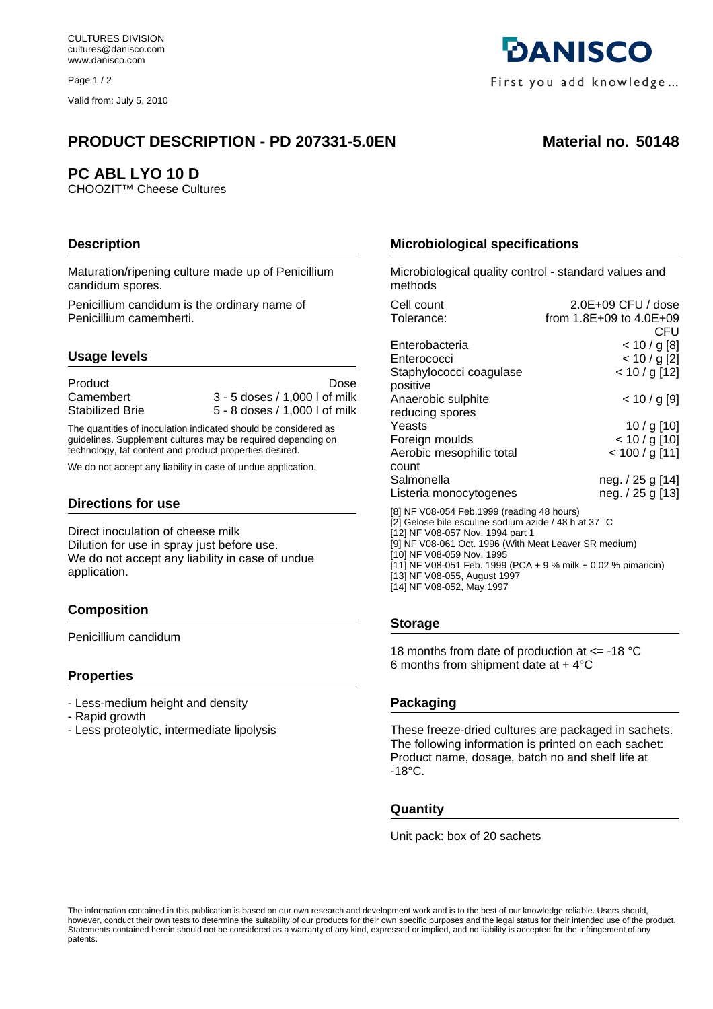Page 1/2

Valid from: July 5, 2010

# **PRODUCT DESCRIPTION - PD 207331-5.0EN Material no. 50148**

# **PC ABL LYO 10 D**

CHOOZIT™ Cheese Cultures

# **Description**

Maturation/ripening culture made up of Penicillium candidum spores.

Penicillium candidum is the ordinary name of Penicillium camemberti.

## **Usage levels**

Product Dose

Camembert 3 - 5 doses / 1,000 l of milk Stabilized Brie 5 - 8 doses / 1,000 l of milk

The quantities of inoculation indicated should be considered as guidelines. Supplement cultures may be required depending on technology, fat content and product properties desired.

We do not accept any liability in case of undue application.

#### **Directions for use**

Direct inoculation of cheese milk Dilution for use in spray just before use. We do not accept any liability in case of undue application.

## **Composition**

Penicillium candidum

## **Properties**

- Less-medium height and density
- Rapid growth
- Less proteolytic, intermediate lipolysis

# **Microbiological specifications**

Microbiological quality control - standard values and methods

| Cell count                                                                                          | 2.0E+09 CFU / dose      |  |
|-----------------------------------------------------------------------------------------------------|-------------------------|--|
| Tolerance:                                                                                          | from 1.8E+09 to 4.0E+09 |  |
|                                                                                                     | CFU                     |  |
| Enterobacteria                                                                                      | < 10 / g [8]            |  |
| Enterococci                                                                                         | $< 10 / g$ [2]          |  |
| Staphylococci coagulase                                                                             | $< 10 / g$ [12]         |  |
| positive                                                                                            |                         |  |
| Anaerobic sulphite                                                                                  | < 10 / g [9]            |  |
| reducing spores                                                                                     |                         |  |
| Yeasts                                                                                              | $10 / g$ [10]           |  |
| Foreign moulds                                                                                      | $< 10 / g$ [10]         |  |
| Aerobic mesophilic total                                                                            | $< 100 / g$ [11]        |  |
| count                                                                                               |                         |  |
| Salmonella                                                                                          | neg. / 25 g [14]        |  |
| Listeria monocytogenes                                                                              | neg. / 25 g [13]        |  |
|                                                                                                     |                         |  |
| [8] NF V08-054 Feb.1999 (reading 48 hours)<br>[2] Gelose bile esculine sodium azide / 48 h at 37 °C |                         |  |
| [12] NF V08-057 Nov. 1994 part 1                                                                    |                         |  |
| [9] NF V08-061 Oct. 1996 (With Meat Leaver SR medium)                                               |                         |  |
| [10] NF V08-059 Nov. 1995                                                                           |                         |  |
| [11] NF V08-051 Feb. 1999 (PCA + 9 % milk + 0.02 % pimaricin)                                       |                         |  |

[13] NF V08-055, August 1997 [14] NF V08-052, May 1997

## **Storage**

18 months from date of production at <= -18 °C 6 months from shipment date at  $+4^{\circ}$ C

## **Packaging**

These freeze-dried cultures are packaged in sachets. The following information is printed on each sachet: Product name, dosage, batch no and shelf life at  $-18^{\circ}$ C.

# **Quantity**

Unit pack: box of 20 sachets

The information contained in this publication is based on our own research and development work and is to the best of our knowledge reliable. Users should, however, conduct their own tests to determine the suitability of our products for their own specific purposes and the legal status for their intended use of the product. Statements contained herein should not be considered as a warranty of any kind, expressed or implied, and no liability is accepted for the infringement of any patents.